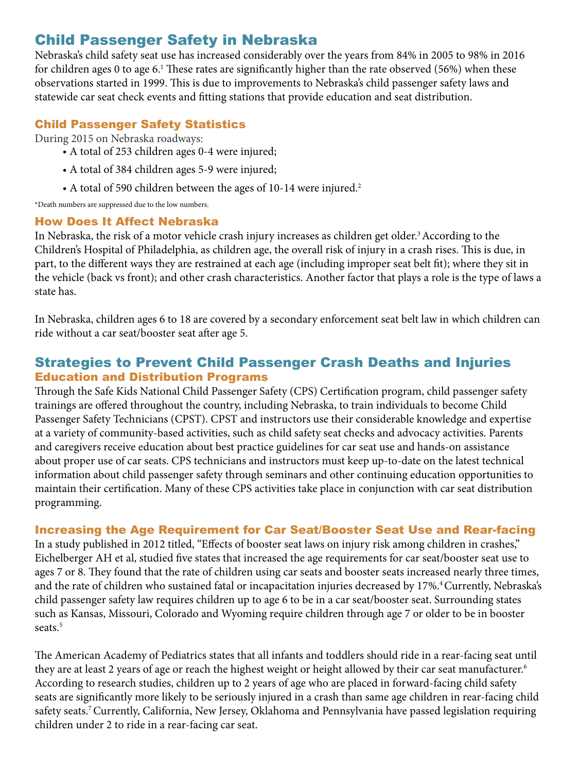# Child Passenger Safety in Nebraska

Nebraska's child safety seat use has increased considerably over the years from 84% in 2005 to 98% in 2016 for children ages 0 to age 6.1 These rates are significantly higher than the rate observed (56%) when these observations started in 1999. This is due to improvements to Nebraska's child passenger safety laws and statewide car seat check events and fitting stations that provide education and seat distribution.

### Child Passenger Safety Statistics

During 2015 on Nebraska roadways:

- A total of 253 children ages 0-4 were injured;
- A total of 384 children ages 5-9 were injured;
- A total of 590 children between the ages of 10-14 were injured.<sup>2</sup>

\*Death numbers are suppressed due to the low numbers.

#### How Does It Affect Nebraska

In Nebraska, the risk of a motor vehicle crash injury increases as children get older.<sup>3</sup> According to the Children's Hospital of Philadelphia, as children age, the overall risk of injury in a crash rises. This is due, in part, to the different ways they are restrained at each age (including improper seat belt fit); where they sit in the vehicle (back vs front); and other crash characteristics. Another factor that plays a role is the type of laws a state has.

In Nebraska, children ages 6 to 18 are covered by a secondary enforcement seat belt law in which children can ride without a car seat/booster seat after age 5.

## Strategies to Prevent Child Passenger Crash Deaths and Injuries Education and Distribution Programs

Through the Safe Kids National Child Passenger Safety (CPS) Certification program, child passenger safety trainings are offered throughout the country, including Nebraska, to train individuals to become Child Passenger Safety Technicians (CPST). CPST and instructors use their considerable knowledge and expertise at a variety of community-based activities, such as child safety seat checks and advocacy activities. Parents and caregivers receive education about best practice guidelines for car seat use and hands-on assistance about proper use of car seats. CPS technicians and instructors must keep up-to-date on the latest technical information about child passenger safety through seminars and other continuing education opportunities to maintain their certification. Many of these CPS activities take place in conjunction with car seat distribution programming.

#### Increasing the Age Requirement for Car Seat/Booster Seat Use and Rear-facing

In a study published in 2012 titled, "Effects of booster seat laws on injury risk among children in crashes," Eichelberger AH et al, studied five states that increased the age requirements for car seat/booster seat use to ages 7 or 8. They found that the rate of children using car seats and booster seats increased nearly three times, and the rate of children who sustained fatal or incapacitation injuries decreased by 17%.<sup>4</sup> Currently, Nebraska's child passenger safety law requires children up to age 6 to be in a car seat/booster seat. Surrounding states such as Kansas, Missouri, Colorado and Wyoming require children through age 7 or older to be in booster seats.<sup>5</sup>

The American Academy of Pediatrics states that all infants and toddlers should ride in a rear-facing seat until they are at least 2 years of age or reach the highest weight or height allowed by their car seat manufacturer.<sup>6</sup> According to research studies, children up to 2 years of age who are placed in forward-facing child safety seats are significantly more likely to be seriously injured in a crash than same age children in rear-facing child safety seats.<sup>7</sup> Currently, California, New Jersey, Oklahoma and Pennsylvania have passed legislation requiring children under 2 to ride in a rear-facing car seat.